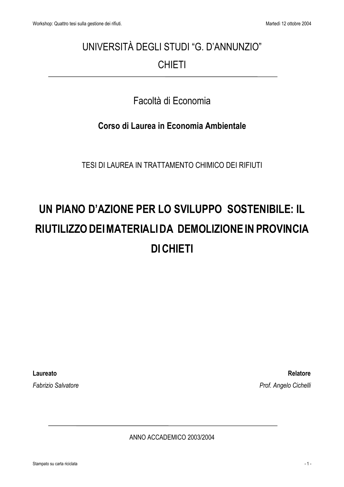## UNIVERSITÀ DEGLI STUDI "G. D'ANNUNZIO" **CHIETI**

## Facoltà di Economia

### Corso di Laurea in Economia Ambientale

TESI DI LAUREA IN TRATTAMENTO CHIMICO DEI RIFIUTI

# UN PIANO D'AZIONE PER LO SVILUPPO SOSTENIBILE: IL RIUTILIZZO DEI MATERIALI DA DEMOLIZIONE IN PROVINCIA **DI CHIETI**

Laureato

**Fabrizio Salvatore** 

**Relatore** Prof. Angelo Cichelli

ANNO ACCADEMICO 2003/2004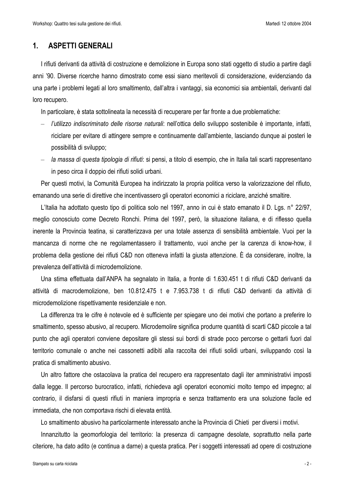### $\mathbf{1}$ . **ASPETTI GENERALI**

I rifiuti derivanti da attività di costruzione e demolizione in Europa sono stati oggetto di studio a partire dagli anni '90. Diverse ricerche hanno dimostrato come essi siano meritevoli di considerazione, evidenziando da una parte i problemi legati al loro smaltimento, dall'altra i vantaggi, sia economici sia ambientali, derivanti dal loro recupero.

In particolare, è stata sottolineata la necessità di recuperare per far fronte a due problematiche:

- l'utilizzo indiscriminato delle risorse naturali: nell'ottica dello sviluppo sostenibile è importante, infatti, riciclare per evitare di attingere sempre e continuamente dall'ambiente, lasciando dunque ai posteri le possibilità di sviluppo:
- la massa di questa tipologia di rifiuti: si pensi, a titolo di esempio, che in Italia tali scarti rappresentano in peso circa il doppio dei rifiuti solidi urbani.

Per questi motivi, la Comunità Europea ha indirizzato la propria politica verso la valorizzazione del rifiuto, emanando una serie di direttive che incentivassero gli operatori economici a riciclare, anziché smaltire.

L'Italia ha adottato questo tipo di politica solo nel 1997, anno in cui è stato emanato il D. Lgs. n° 22/97, meglio conosciuto come Decreto Ronchi. Prima del 1997, però, la situazione italiana, e di riflesso quella inerente la Provincia teatina, si caratterizzava per una totale assenza di sensibilità ambientale. Vuoi per la mancanza di norme che ne regolamentassero il trattamento, vuoi anche per la carenza di know-how, il problema della gestione dei rifiuti C&D non otteneva infatti la giusta attenzione. È da considerare, inoltre, la prevalenza dell'attività di microdemolizione.

Una stima effettuata dall'ANPA ha segnalato in Italia, a fronte di 1.630.451 t di rifiuti C&D derivanti da attività di macrodemolizione, ben 10.812.475 t e 7.953.738 t di rifiuti C&D derivanti da attività di microdemolizione rispettivamente residenziale e non.

La differenza tra le cifre è notevole ed è sufficiente per spiegare uno dei motivi che portano a preferire lo smaltimento, spesso abusivo, al recupero. Microdemolire significa produrre quantità di scarti C&D piccole a tal punto che agli operatori conviene depositare gli stessi sui bordi di strade poco percorse o gettarli fuori dal territorio comunale o anche nei cassonetti adibiti alla raccolta dei rifiuti solidi urbani, sviluppando così la pratica di smaltimento abusivo.

Un altro fattore che ostacolava la pratica del recupero era rappresentato dagli iter amministrativi imposti dalla legge. Il percorso burocratico, infatti, richiedeva agli operatori economici molto tempo ed impegno; al contrario, il disfarsi di questi rifiuti in maniera impropria e senza trattamento era una soluzione facile ed immediata, che non comportava rischi di elevata entità.

Lo smaltimento abusivo ha particolarmente interessato anche la Provincia di Chieti per diversi i motivi.

Innanzitutto la geomorfologia del territorio: la presenza di campagne desolate, soprattutto nella parte citeriore, ha dato adito (e continua a darne) a questa pratica. Per i soggetti interessati ad opere di costruzione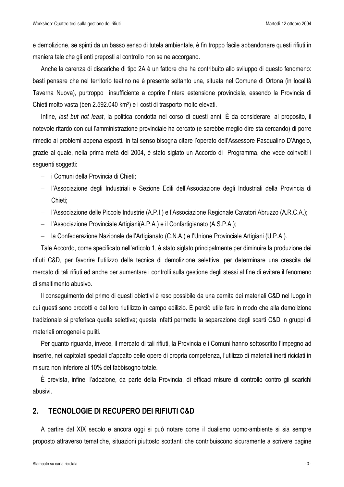e demolizione, se spinti da un basso senso di tutela ambientale, è fin troppo facile abbandonare questi rifiuti in maniera tale che gli enti preposti al controllo non se ne accorgano.

Anche la carenza di discariche di tipo 2A è un fattore che ha contribuito allo sviluppo di questo fenomeno: basti pensare che nel territorio teatino ne è presente soltanto una, situata nel Comune di Ortona (in località Taverna Nuova), purtroppo insufficiente a coprire l'intera estensione provinciale, essendo la Provincia di Chieti molto vasta (ben 2.592.040 km<sup>2</sup>) e i costi di trasporto molto elevati.

Infine, last but not least, la politica condotta nel corso di questi anni. È da considerare, al proposito, il notevole ritardo con cui l'amministrazione provinciale ha cercato (e sarebbe meglio dire sta cercando) di porre rimedio ai problemi appena esposti. In tal senso bisogna citare l'operato dell'Assessore Pasqualino D'Angelo, grazie al quale, nella prima metà del 2004, è stato siglato un Accordo di Programma, che vede coinvolti i seguenti soggetti:

- i Comuni della Provincia di Chieti;
- l'Associazione degli Industriali e Sezione Edili dell'Associazione degli Industriali della Provincia di Chieti:
- l'Associazione delle Piccole Industrie (A.P.I.) e l'Associazione Regionale Cavatori Abruzzo (A.R.C.A.);
- l'Associazione Provinciale Artigiani(A.P.A.) e il Confartigianato (A.S.P.A.);
- la Confederazione Nazionale dell'Artigianato (C.N.A.) e l'Unione Provinciale Artigiani (U.P.A.).

Tale Accordo, come specificato nell'articolo 1, è stato siglato principalmente per diminuire la produzione dei rifiuti C&D, per favorire l'utilizzo della tecnica di demolizione selettiva, per determinare una crescita del mercato di tali rifiuti ed anche per aumentare i controlli sulla gestione degli stessi al fine di evitare il fenomeno di smaltimento abusivo.

Il conseguimento del primo di questi obiettivi è reso possibile da una cernita dei materiali C&D nel luogo in cui questi sono prodotti e dal loro riutilizzo in campo edilizio. È perciò utile fare in modo che alla demolizione tradizionale si preferisca quella selettiva; questa infatti permette la separazione degli scarti C&D in gruppi di materiali omogenei e puliti.

Per quanto riguarda, invece, il mercato di tali rifiuti, la Provincia e i Comuni hanno sottoscritto l'impegno ad inserire, nei capitolati speciali d'appalto delle opere di propria competenza, l'utilizzo di materiali inerti riciclati in misura non inferiore al 10% del fabbisogno totale.

È prevista, infine, l'adozione, da parte della Provincia, di efficaci misure di controllo contro gli scarichi abusivi

#### $2.$ **TECNOLOGIE DI RECUPERO DEI RIFIUTI C&D**

A partire dal XIX secolo e ancora oggi si può notare come il dualismo uomo-ambiente si sia sempre proposto attraverso tematiche, situazioni piuttosto scottanti che contribuiscono sicuramente a scrivere pagine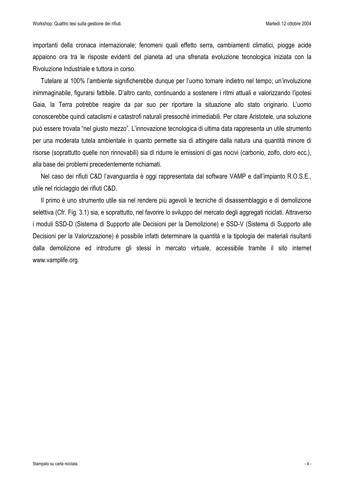importanti della cronaca internazionale; fenomeni quali effetto serra, cambiamenti climatici, piogge acide appaiono ora tra le risposte evidenti del pianeta ad una sfrenata evoluzione tecnologica iniziata con la Rivoluzione Industriale e tuttora in corso.

Tutelare al 100% l'ambiente significherebbe dunque per l'uomo tornare indietro nel tempo; un'involuzione inimmaginabile, figurarsi fattibile. D'altro canto, continuando a sostenere i ritmi attuali e valorizzando l'ipotesi Gaia, la Terra potrebbe reagire da par suo per riportare la situazione allo stato originario. L'uomo conoscerebbe quindi cataclismi e catastrofi naturali pressoché irrimediabili. Per citare Aristotele, una soluzione può essere trovata "nel giusto mezzo". L'innovazione tecnologica di ultima data rappresenta un utile strumento per una moderata tutela ambientale in quanto permette sia di attingere dalla natura una quantità minore di risorse (soprattutto quelle non rinnovabili) sia di ridurre le emissioni di gas nocivi (carbonio, zolfo, cloro ecc.), alla base dei problemi precedentemente richiamati.

Nel caso dei rifiuti C&D l'avanguardia è oggi rappresentata dal software VAMP e dall'impianto R.O.S.E., utile nel riciclaggio dei rifiuti C&D.

Il primo è uno strumento utile sia nel rendere più agevoli le tecniche di disassemblaggio e di demolizione selettiva (Cfr. Fig. 3.1) sia, e soprattutto, nel favorire lo sviluppo del mercato degli aggregati riciclati. Attraverso i moduli SSD-D (Sistema di Supporto alle Decisioni per la Demolizione) e SSD-V (Sistema di Supporto alle Decisioni per la Valorizzazione) è possibile infatti determinare la quantità e la tipologia dei materiali risultanti dalla demolizione ed introdurre gli stessi in mercato virtuale, accessibile tramite il sito internet www.vamplife.org.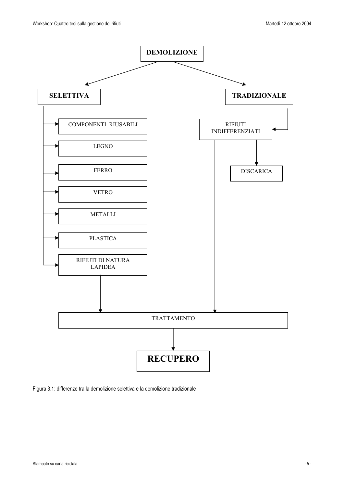

Figura 3.1: differenze tra la demolizione selettiva e la demolizione tradizionale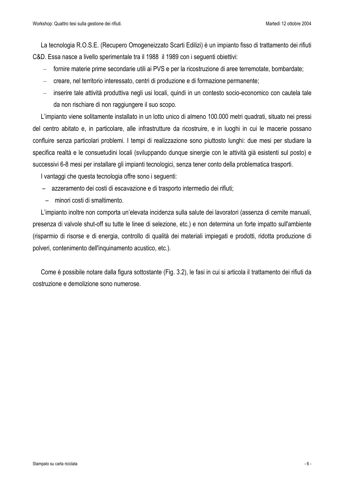La tecnologia R.O.S.E. (Recupero Omogeneizzato Scarti Edilizi) è un impianto fisso di trattamento dei rifiuti C&D. Essa nasce a livello sperimentale tra il 1988 il 1989 con i sequenti obiettivi:

- fornire materie prime secondarie utili ai PVS e per la ricostruzione di aree terremotate, bombardate;
- creare, nel territorio interessato, centri di produzione e di formazione permanente;
- inserire tale attività produttiva negli usi locali, quindi in un contesto socio-economico con cautela tale da non rischiare di non raggiungere il suo scopo.

L'impianto viene solitamente installato in un lotto unico di almeno 100.000 metri quadrati, situato nei pressi del centro abitato e, in particolare, alle infrastrutture da ricostruire, e in luoghi in cui le macerie possano confluire senza particolari problemi. I tempi di realizzazione sono piuttosto lunghi: due mesi per studiare la specifica realtà e le consuetudini locali (sviluppando dunque sinergie con le attività già esistenti sul posto) e successivi 6-8 mesi per installare gli impianti tecnologici, senza tener conto della problematica trasporti.

I vantaggi che questa tecnologia offre sono i sequenti:

- azzeramento dei costi di escavazione e di trasporto intermedio dei rifiuti;
- minori costi di smaltimento.

L'impianto inoltre non comporta un'elevata incidenza sulla salute dei lavoratori (assenza di cernite manuali, presenza di valvole shut-off su tutte le linee di selezione, etc.) e non determina un forte impatto sull'ambiente (risparmio di risorse e di energia, controllo di qualità dei materiali impiegati e prodotti, ridotta produzione di polveri, contenimento dell'inquinamento acustico, etc.).

Come è possibile notare dalla figura sottostante (Fig. 3.2), le fasi in cui si articola il trattamento dei rifiuti da costruzione e demolizione sono numerose.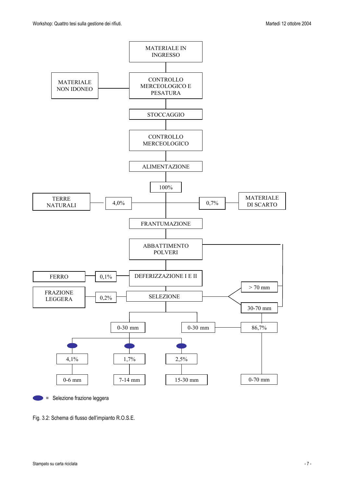

Selezione frazione leggera

Fig. 3.2: Schema di flusso dell'impianto R.O.S.E.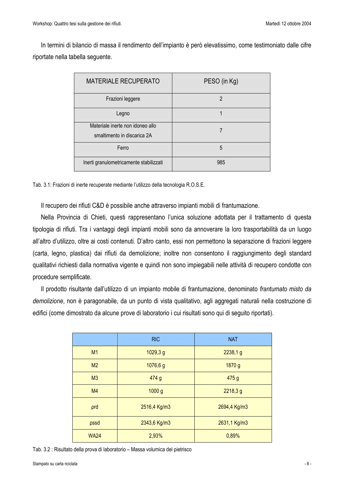In termini di bilancio di massa il rendimento dell'impianto è però elevatissimo, come testimoniato dalle cifre riportate nella tabella seguente.

| <b>MATERIALE RECUPERATO</b>                                     | PESO (in Kg) |
|-----------------------------------------------------------------|--------------|
| Frazioni leggere                                                | 2            |
| Legno                                                           |              |
| Materiale inerte non idoneo allo<br>smaltimento in discarica 2A |              |
| Ferro                                                           | 5            |
| Inerti granulometricamente stabilizzati                         | 985          |

Tab. 3.1: Frazioni di inerte recuperate mediante l'utilizzo della tecnologia R.O.S.E.

Il recupero dei rifiuti C&D è possibile anche attraverso impianti mobili di frantumazione.

Nella Provincia di Chieti, questi rappresentano l'unica soluzione adottata per il trattamento di questa tipologia di rifiuti. Tra i vantaggi degli impianti mobili sono da annoverare la loro trasportabilità da un luogo all'altro d'utilizzo, oltre ai costi contenuti. D'altro canto, essi non permettono la separazione di frazioni leggere (carta, legno, plastica) dai rifiuti da demolizione; inoltre non consentono il raggiungimento degli standard qualitativi richiesti dalla normativa vigente e quindi non sono impiegabili nelle attività di recupero condotte con procedure semplificate.

Il prodotto risultante dall'utilizzo di un impianto mobile di frantumazione, denominato frantumato misto da demolizione, non è paragonabile, da un punto di vista qualitativo, agli aggregati naturali nella costruzione di edifici (come dimostrato da alcune prove di laboratorio i cui risultati sono qui di seguito riportati).

|                | <b>RIC</b>   | <b>NAT</b>   |
|----------------|--------------|--------------|
| M1             | 1029, 3 g    | 2238,1 g     |
| M <sub>2</sub> | 1076,6 g     | 1870 g       |
| M <sub>3</sub> | 474 g        | 475 g        |
| M <sub>4</sub> | 1000 g       | 2218,3 g     |
| prd            | 2516,4 Kg/m3 | 2694,4 Kg/m3 |
| pssd           | 2343,6 Kg/m3 | 2631,1 Kg/m3 |
| <b>WA24</b>    | 2,93%        | 0,89%        |

Tab. 3.2 : Risultato della prova di laboratorio – Massa volumica del pietrisco